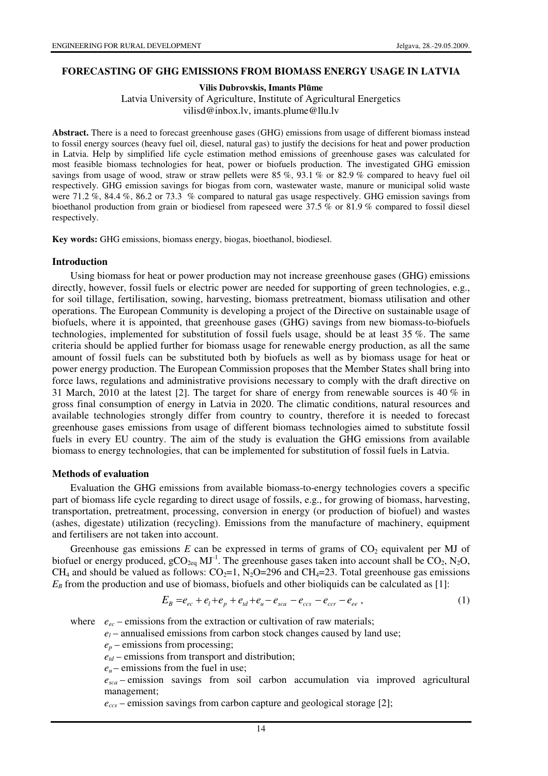#### **FORECASTING OF GHG EMISSIONS FROM BIOMASS ENERGY USAGE IN LATVIA**

**Vilis Dubrovskis, Imants Pl**ū**me** 

Latvia University of Agriculture, Institute of Agricultural Energetics vilisd@inbox.lv, imants.plume@llu.lv

Abstract. There is a need to forecast greenhouse gases (GHG) emissions from usage of different biomass instead to fossil energy sources (heavy fuel oil, diesel, natural gas) to justify the decisions for heat and power production in Latvia. Help by simplified life cycle estimation method emissions of greenhouse gases was calculated for most feasible biomass technologies for heat, power or biofuels production. The investigated GHG emission savings from usage of wood, straw or straw pellets were 85 %, 93.1 % or 82.9 % compared to heavy fuel oil respectively. GHG emission savings for biogas from corn, wastewater waste, manure or municipal solid waste were 71.2 %, 84.4 %, 86.2 or 73.3 % compared to natural gas usage respectively. GHG emission savings from bioethanol production from grain or biodiesel from rapeseed were 37.5 % or 81.9 % compared to fossil diesel respectively.

**Key words:** GHG emissions, biomass energy, biogas, bioethanol, biodiesel.

### **Introduction**

Using biomass for heat or power production may not increase greenhouse gases (GHG) emissions directly, however, fossil fuels or electric power are needed for supporting of green technologies, e.g., for soil tillage, fertilisation, sowing, harvesting, biomass pretreatment, biomass utilisation and other operations. The European Community is developing a project of the Directive on sustainable usage of biofuels, where it is appointed, that greenhouse gases (GHG) savings from new biomass-to-biofuels technologies, implemented for substitution of fossil fuels usage, should be at least 35 %. The same criteria should be applied further for biomass usage for renewable energy production, as all the same amount of fossil fuels can be substituted both by biofuels as well as by biomass usage for heat or power energy production. The European Commission proposes that the Member States shall bring into force laws, regulations and administrative provisions necessary to comply with the draft directive on 31 March, 2010 at the latest [2]. The target for share of energy from renewable sources is 40 % in gross final consumption of energy in Latvia in 2020. The climatic conditions, natural resources and available technologies strongly differ from country to country, therefore it is needed to forecast greenhouse gases emissions from usage of different biomass technologies aimed to substitute fossil fuels in every EU country. The aim of the study is evaluation the GHG emissions from available biomass to energy technologies, that can be implemented for substitution of fossil fuels in Latvia.

### **Methods of evaluation**

Evaluation the GHG emissions from available biomass-to-energy technologies covers a specific part of biomass life cycle regarding to direct usage of fossils, e.g., for growing of biomass, harvesting, transportation, pretreatment, processing, conversion in energy (or production of biofuel) and wastes (ashes, digestate) utilization (recycling). Emissions from the manufacture of machinery, equipment and fertilisers are not taken into account.

Greenhouse gas emissions  $E$  can be expressed in terms of grams of  $CO<sub>2</sub>$  equivalent per MJ of biofuel or energy produced,  $gCO_{2eq}$  MJ<sup>-1</sup>. The greenhouse gases taken into account shall be  $CO_2$ , N<sub>2</sub>O, CH<sub>4</sub> and should be valued as follows: CO<sub>2</sub>=1, N<sub>2</sub>O=296 and CH<sub>4</sub>=23. Total greenhouse gas emissions  $E_B$  from the production and use of biomass, biofuels and other bioliquids can be calculated as [1]:

$$
E_B = e_{ec} + e_l + e_p + e_{td} + e_u - e_{sca} - e_{ccs} - e_{ccr} - e_{ee} ,
$$
 (1)

where  $e_{ec}$  – emissions from the extraction or cultivation of raw materials;

 $e_l$  – annualised emissions from carbon stock changes caused by land use;

 $e_p$  – emissions from processing;

 $e_{td}$  – emissions from transport and distribution;

 $e<sub>u</sub>$  – emissions from the fuel in use;

*esca* – emission savings from soil carbon accumulation via improved agricultural management;

*eccs* – emission savings from carbon capture and geological storage [2];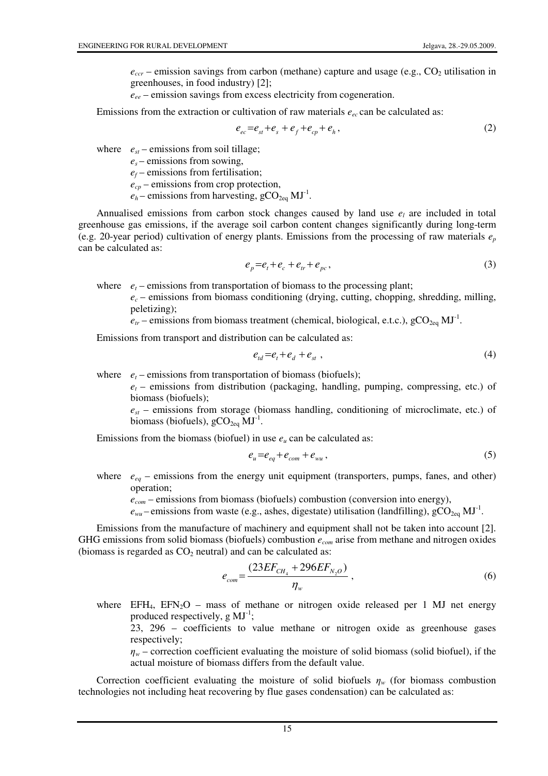$e_{\text{ccr}}$  – emission savings from carbon (methane) capture and usage (e.g.,  $CO_2$  utilisation in greenhouses, in food industry) [2];

*eee* – emission savings from excess electricity from cogeneration.

Emissions from the extraction or cultivation of raw materials  $e_{ec}$  can be calculated as:

$$
e_{ec} = e_{st} + e_s + e_f + e_{cp} + e_h, \qquad (2)
$$

where  $e_{st}$  – emissions from soil tillage;

 $e_s$  – emissions from sowing, *e<sup>f</sup>* – emissions from fertilisation; *ecp* – emissions from crop protection,  $e_h$  – emissions from harvesting,  $\text{gCO}_{2\text{eq}}$  MJ<sup>-1</sup>.

Annualised emissions from carbon stock changes caused by land use  $e_l$  are included in total greenhouse gas emissions, if the average soil carbon content changes significantly during long-term (e.g. 20-year period) cultivation of energy plants. Emissions from the processing of raw materials *e<sup>p</sup>* can be calculated as:

$$
e_p = e_t + e_c + e_{tr} + e_{pc},\tag{3}
$$

where  $e_t$  – emissions from transportation of biomass to the processing plant;

 $e_c$  – emissions from biomass conditioning (drying, cutting, chopping, shredding, milling, peletizing);

 $\epsilon_{tr}$  – emissions from biomass treatment (chemical, biological, e.t.c.),  $\rm gCO_{2eq}$  MJ<sup>-1</sup>.

Emissions from transport and distribution can be calculated as:

$$
e_{td} = e_t + e_d + e_{st} \tag{4}
$$

where  $e_t$  – emissions from transportation of biomass (biofuels);

 $e_t$  – emissions from distribution (packaging, handling, pumping, compressing, etc.) of biomass (biofuels);

*est* – emissions from storage (biomass handling, conditioning of microclimate, etc.) of biomass (biofuels),  $\text{gCO}_{2\text{eq}}$   $\text{MJ}^{-1}$ .

Emissions from the biomass (biofuel) in use  $e<sub>u</sub>$  can be calculated as:

$$
e_u = e_{eq} + e_{com} + e_{wu}, \qquad (5)
$$

where  $e_{eq}$  – emissions from the energy unit equipment (transporters, pumps, fanes, and other) operation;

 *ecom* – emissions from biomass (biofuels) combustion (conversion into energy),

 $e_{wu}$  – emissions from waste (e.g., ashes, digestate) utilisation (landfilling),  $\rm gCO_{2eq}$  MJ<sup>-1</sup>.

Emissions from the manufacture of machinery and equipment shall not be taken into account [2]. GHG emissions from solid biomass (biofuels) combustion *ecom* arise from methane and nitrogen oxides (biomass is regarded as  $CO<sub>2</sub>$  neutral) and can be calculated as:

$$
e_{com} = \frac{(23EF_{CH_4} + 296EF_{N_2O})}{\eta_w} \,, \tag{6}
$$

where  $EFH_4$ ,  $EFN_2O$  – mass of methane or nitrogen oxide released per 1 MJ net energy produced respectively,  $g MJ^{-1}$ ;

23, 296 – coefficients to value methane or nitrogen oxide as greenhouse gases respectively;

 $\eta_w$  – correction coefficient evaluating the moisture of solid biomass (solid biofuel), if the actual moisture of biomass differs from the default value.

Correction coefficient evaluating the moisture of solid biofuels  $\eta_w$  (for biomass combustion technologies not including heat recovering by flue gases condensation) can be calculated as: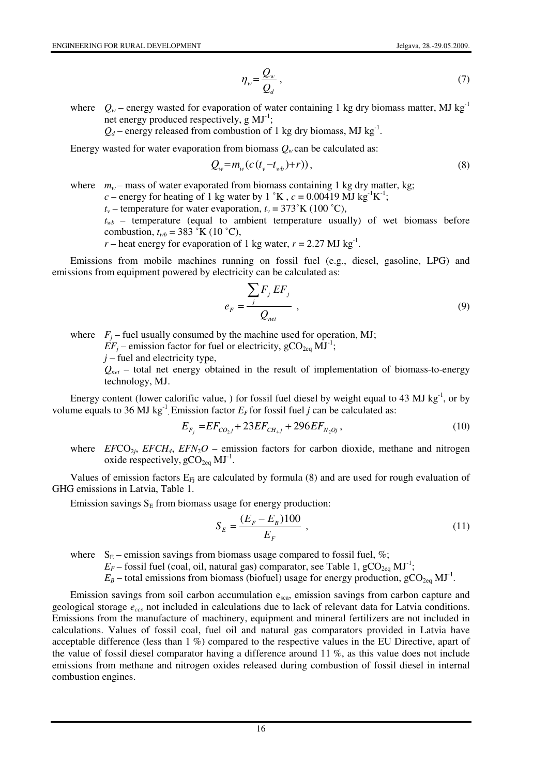$$
\eta_w = \frac{Q_w}{Q_d} \,,\tag{7}
$$

where  $Q_w$  – energy wasted for evaporation of water containing 1 kg dry biomass matter, MJ kg<sup>-1</sup> net energy produced respectively,  $g$   $MJ^{-1}$ ;

 $Q_d$  – energy released from combustion of 1 kg dry biomass, MJ kg<sup>-1</sup>.

Energy wasted for water evaporation from biomass  $Q_w$  can be calculated as:

$$
Q_w = m_w(c(t_v - t_{wb}) + r)),
$$
\n(8)

where  $m_w$  – mass of water evaporated from biomass containing 1 kg dry matter, kg;  $c$  – energy for heating of 1 kg water by 1 °K,  $c = 0.00419$  MJ kg<sup>-1</sup>K<sup>-1</sup>;

 $t_v$  – temperature for water evaporation,  $t_v = 373$ °K (100 °C),

 $t_{wb}$  – temperature (equal to ambient temperature usually) of wet biomass before combustion,  $t_{wb} = 383 \text{ }^{\circ}\text{K}$  (10  $\text{ }^{\circ}\text{C}$ ),

*r* – heat energy for evaporation of 1 kg water,  $r = 2.27 \text{ MJ kg}^{-1}$ .

Emissions from mobile machines running on fossil fuel (e.g., diesel, gasoline, LPG) and emissions from equipment powered by electricity can be calculated as:

$$
e_F = \frac{\sum_j F_j EF_j}{Q_{net}} \tag{9}
$$

where  $F_j$  – fuel usually consumed by the machine used for operation, MJ;

 $EF_i$  – emission factor for fuel or electricity,  $gCO_{2eq}$  MJ<sup>-1</sup>;

*j* – fuel and electricity type,

 $Q_{net}$  – total net energy obtained in the result of implementation of biomass-to-energy technology, MJ.

Energy content (lower calorific value, ) for fossil fuel diesel by weight equal to 43 MJ kg<sup>-1</sup>, or by volume equals to 36 MJ kg<sup>-1</sup> Emission factor  $E_F$  for fossil fuel *j* can be calculated as:

$$
E_{F_j} = EF_{CO_2j} + 23EF_{CH_4j} + 296EF_{N_2Oj},\tag{10}
$$

where  $EFCO_{2j}$ ,  $EFCH_4$ ,  $EFN_2O$  – emission factors for carbon dioxide, methane and nitrogen oxide respectively,  $\text{gCO}_{2\text{eq}}$  MJ<sup>-1</sup>.

Values of emission factors  $E_{Fj}$  are calculated by formula (8) and are used for rough evaluation of GHG emissions in Latvia, Table 1.

Emission savings  $S<sub>E</sub>$  from biomass usage for energy production:

$$
S_E = \frac{(E_F - E_B)100}{E_F} \tag{11}
$$

where  $S_E$  – emission savings from biomass usage compared to fossil fuel, %;

 $E_F$  – fossil fuel (coal, oil, natural gas) comparator, see Table 1, gCO<sub>2eq</sub> MJ<sup>-1</sup>;

 $E_B$  – total emissions from biomass (biofuel) usage for energy production,  $\text{gCO}_{2\text{eq}}$  MJ<sup>-1</sup>.

Emission savings from soil carbon accumulation e<sub>sca</sub>, emission savings from carbon capture and geological storage *eccs* not included in calculations due to lack of relevant data for Latvia conditions. Emissions from the manufacture of machinery, equipment and mineral fertilizers are not included in calculations. Values of fossil coal, fuel oil and natural gas comparators provided in Latvia have acceptable difference (less than 1 %) compared to the respective values in the EU Directive, apart of the value of fossil diesel comparator having a difference around 11 %, as this value does not include emissions from methane and nitrogen oxides released during combustion of fossil diesel in internal combustion engines.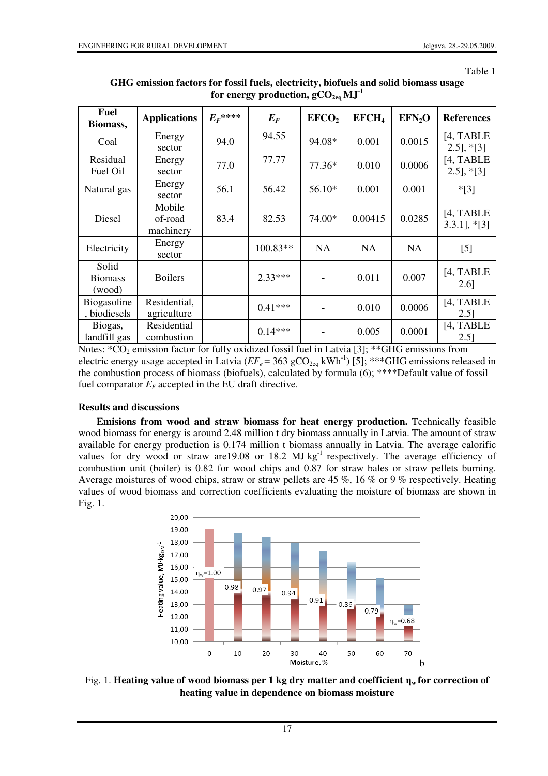| ١ı<br>łГ |  |
|----------|--|
|----------|--|

| <b>Fuel</b><br>Biomass,           | <b>Applications</b>            | $E_{F}$ **** | $E_F$      | EFCO <sub>2</sub> | EFCH <sub>4</sub> | EFN <sub>2</sub> O | <b>References</b>                |
|-----------------------------------|--------------------------------|--------------|------------|-------------------|-------------------|--------------------|----------------------------------|
| Coal                              | Energy<br>sector               | 94.0         | 94.55      | 94.08*            | 0.001             | 0.0015             | [4, TABLE]<br>$[2.5]$ , *[3]     |
| Residual<br>Fuel Oil              | Energy<br>sector               | 77.0         | 77.77      | 77.36*            | 0.010             | 0.0006             | [4, TABLE<br>$2.5$ ], $*$ [3]    |
| Natural gas                       | Energy<br>sector               | 56.1         | 56.42      | 56.10*            | 0.001             | 0.001              | $*$ [3]                          |
| Diesel                            | Mobile<br>of-road<br>machinery | 83.4         | 82.53      | 74.00*            | 0.00415           | 0.0285             | [4, TABLE]<br>$3.3.1$ ], $*$ [3] |
| Electricity                       | Energy<br>sector               |              | $100.83**$ | <b>NA</b>         | <b>NA</b>         | <b>NA</b>          | $[5]$                            |
| Solid<br><b>Biomass</b><br>(wood) | <b>Boilers</b>                 |              | $2.33***$  |                   | 0.011             | 0.007              | [4, TABLE]<br>2.61               |
| Biogasoline<br>, biodiesels       | Residential,<br>agriculture    |              | $0.41***$  |                   | 0.010             | 0.0006             | [4, TABLE<br>$2.5$ ]             |
| Biogas,<br>landfill gas           | Residential<br>combustion      |              | $0.14***$  |                   | 0.005             | 0.0001             | [4, TABLE<br>$2.5$ ]             |

**GHG emission factors for fossil fuels, electricity, biofuels and solid biomass usage**  for energy production,  $gCO_{2eq}$   $MJ<sup>-1</sup>$ 

Notes:  $*CO<sub>2</sub>$  emission factor for fully oxidized fossil fuel in Latvia [3]; \*\*GHG emissions from electric energy usage accepted in Latvia ( $EF_e$  = 363 gCO<sub>2eq</sub> kWh<sup>-1</sup>) [5]; \*\*\*GHG emissions released in the combustion process of biomass (biofuels), calculated by formula (6); \*\*\*\*Default value of fossil fuel comparator  $E_F$  accepted in the EU draft directive.

## **Results and discussions**

**Emisions from wood and straw biomass for heat energy production.** Technically feasible wood biomass for energy is around 2.48 million t dry biomass annually in Latvia. The amount of straw available for energy production is 0.174 million t biomass annually in Latvia. The average calorific values for dry wood or straw are 19.08 or 18.2 MJ  $kg^{-1}$  respectively. The average efficiency of combustion unit (boiler) is 0.82 for wood chips and 0.87 for straw bales or straw pellets burning. Average moistures of wood chips, straw or straw pellets are 45 %, 16 % or 9 % respectively. Heating values of wood biomass and correction coefficients evaluating the moisture of biomass are shown in Fig. 1.



Fig. 1. **Heating value of wood biomass per 1 kg dry matter and coefficient** η**w for correction of heating value in dependence on biomass moisture**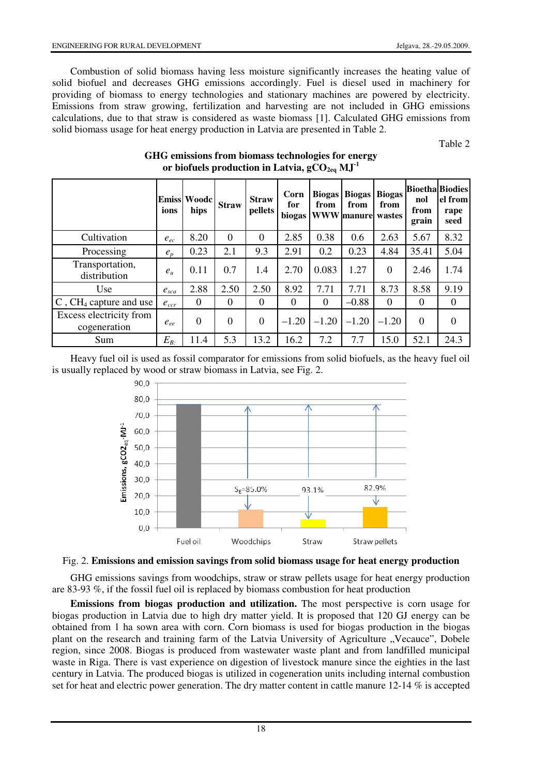Combustion of solid biomass having less moisture significantly increases the heating value of solid biofuel and decreases GHG emissions accordingly. Fuel is diesel used in machinery for providing of biomass to energy technologies and stationary machines are powered by electricity. Emissions from straw growing, fertilization and harvesting are not included in GHG emissions calculations, due to that straw is considered as waste biomass [1]. Calculated GHG emissions from solid biomass usage for heat energy production in Latvia are presented in Table 2.

Table 2

|                                         | ions      | <b>Emiss Woode</b><br>hips | <b>Straw</b> | <b>Straw</b><br>pellets | Corn<br>for<br>biogas | <b>Biogas</b><br>from | <b>Biogas</b><br>from<br><b>WWW</b> manure wastes | <b>Biogas</b><br>from | nol<br>from<br>grain | <b>Bioetha</b> Biodies<br>el from<br>rape<br>seed |
|-----------------------------------------|-----------|----------------------------|--------------|-------------------------|-----------------------|-----------------------|---------------------------------------------------|-----------------------|----------------------|---------------------------------------------------|
| Cultivation                             | $e_{ec}$  | 8.20                       | $\Omega$     | $\Omega$                | 2.85                  | 0.38                  | 0.6                                               | 2.63                  | 5.67                 | 8.32                                              |
| Processing                              | $e_{n}$   | 0.23                       | 2.1          | 9.3                     | 2.91                  | 0.2                   | 0.23                                              | 4.84                  | 35.41                | 5.04                                              |
| Transportation,<br>distribution         | $e_{\mu}$ | 0.11                       | 0.7          | 1.4                     | 2.70                  | 0.083                 | 1.27                                              | $\theta$              | 2.46                 | 1.74                                              |
| <b>Use</b>                              | $e_{sca}$ | 2.88                       | 2.50         | 2.50                    | 8.92                  | 7.71                  | 7.71                                              | 8.73                  | 8.58                 | 9.19                                              |
| $C$ , CH <sub>4</sub> capture and use   | $e_{ccr}$ | $\Omega$                   | $\Omega$     | $\Omega$                | $\Omega$              | $\Omega$              | $-0.88$                                           | $\Omega$              | $\theta$             | $\theta$                                          |
| Excess electricity from<br>cogeneration | $e_{ee}$  | $\overline{0}$             | $\Omega$     | $\Omega$                | $-1.20$               | $-1.20$               | $-1.20$                                           | $-1.20$               | $\Omega$             | $\Omega$                                          |
| Sum                                     | $E_{B}$   | 11.4                       | 5.3          | 13.2                    | 16.2                  | 7.2                   | 7.7                                               | 15.0                  | 52.1                 | 24.3                                              |

## **GHG emissions from biomass technologies for energy**  or biofuels production in Latvia,  $gCO_{2eq}$   $MJ<sup>-1</sup>$

Heavy fuel oil is used as fossil comparator for emissions from solid biofuels, as the heavy fuel oil is usually replaced by wood or straw biomass in Latvia, see Fig. 2.



## Fig. 2. **Emissions and emission savings from solid biomass usage for heat energy production**

GHG emissions savings from woodchips, straw or straw pellets usage for heat energy production are 83-93 %, if the fossil fuel oil is replaced by biomass combustion for heat production

**Emissions from biogas production and utilization.** The most perspective is corn usage for biogas production in Latvia due to high dry matter yield. It is proposed that 120 GJ energy can be obtained from 1 ha sown area with corn. Corn biomass is used for biogas production in the biogas plant on the research and training farm of the Latvia University of Agriculture "Vecauce", Dobele region, since 2008. Biogas is produced from wastewater waste plant and from landfilled municipal waste in Riga. There is vast experience on digestion of livestock manure since the eighties in the last century in Latvia. The produced biogas is utilized in cogeneration units including internal combustion set for heat and electric power generation. The dry matter content in cattle manure 12-14 % is accepted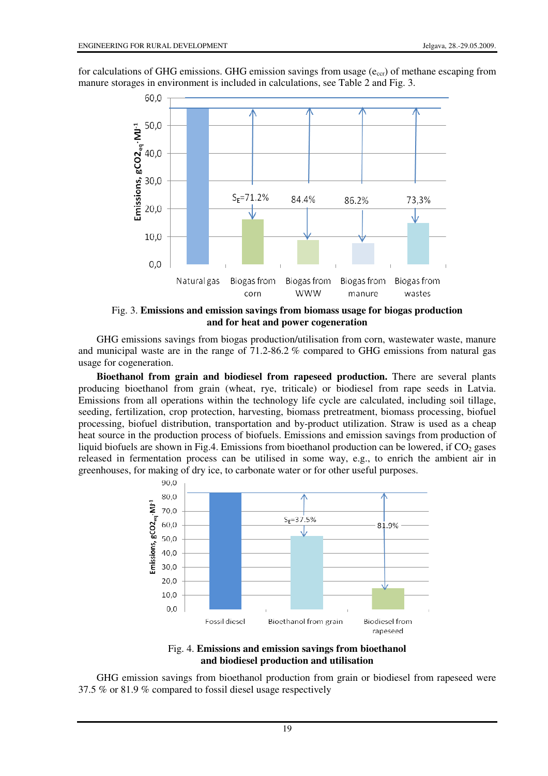for calculations of GHG emissions. GHG emission savings from usage  $(e_{\rm ccr})$  of methane escaping from manure storages in environment is included in calculations, see Table 2 and Fig. 3.



Fig. 3. **Emissions and emission savings from biomass usage for biogas production and for heat and power cogeneration** 

GHG emissions savings from biogas production/utilisation from corn, wastewater waste, manure and municipal waste are in the range of 71.2-86.2 % compared to GHG emissions from natural gas usage for cogeneration.

**Bioethanol from grain and biodiesel from rapeseed production.** There are several plants producing bioethanol from grain (wheat, rye, triticale) or biodiesel from rape seeds in Latvia. Emissions from all operations within the technology life cycle are calculated, including soil tillage, seeding, fertilization, crop protection, harvesting, biomass pretreatment, biomass processing, biofuel processing, biofuel distribution, transportation and by-product utilization. Straw is used as a cheap heat source in the production process of biofuels. Emissions and emission savings from production of liquid biofuels are shown in Fig.4. Emissions from bioethanol production can be lowered, if  $CO<sub>2</sub>$  gases released in fermentation process can be utilised in some way, e.g., to enrich the ambient air in greenhouses, for making of dry ice, to carbonate water or for other useful purposes.



Fig. 4. **Emissions and emission savings from bioethanol and biodiesel production and utilisation**

GHG emission savings from bioethanol production from grain or biodiesel from rapeseed were 37.5 % or 81.9 % compared to fossil diesel usage respectively